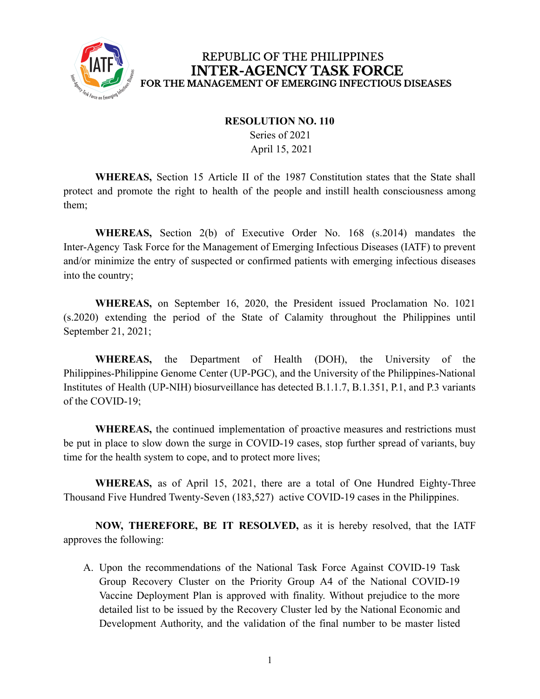

### REPUBLIC OF THE PHILIPPINES **INTER-AGENCY TASK FORCE** FOR THE MANAGEMENT OF EMERGING INFECTIOUS DISEASES

#### **RESOLUTION NO. 110**

Series of 2021 April 15, 2021

**WHEREAS,** Section 15 Article II of the 1987 Constitution states that the State shall protect and promote the right to health of the people and instill health consciousness among them;

**WHEREAS,** Section 2(b) of Executive Order No. 168 (s.2014) mandates the Inter-Agency Task Force for the Management of Emerging Infectious Diseases (IATF) to prevent and/or minimize the entry of suspected or confirmed patients with emerging infectious diseases into the country;

**WHEREAS,** on September 16, 2020, the President issued Proclamation No. 1021 (s.2020) extending the period of the State of Calamity throughout the Philippines until September 21, 2021;

**WHEREAS,** the Department of Health (DOH), the University of the Philippines-Philippine Genome Center (UP-PGC), and the University of the Philippines-National Institutes of Health (UP-NIH) biosurveillance has detected B.1.1.7, B.1.351, P.1, and P.3 variants of the COVID-19;

**WHEREAS,** the continued implementation of proactive measures and restrictions must be put in place to slow down the surge in COVID-19 cases, stop further spread of variants, buy time for the health system to cope, and to protect more lives;

**WHEREAS,** as of April 15, 2021, there are a total of One Hundred Eighty-Three Thousand Five Hundred Twenty-Seven (183,527) active COVID-19 cases in the Philippines.

**NOW, THEREFORE, BE IT RESOLVED,** as it is hereby resolved, that the IATF approves the following:

A. Upon the recommendations of the National Task Force Against COVID-19 Task Group Recovery Cluster on the Priority Group A4 of the National COVID-19 Vaccine Deployment Plan is approved with finality. Without prejudice to the more detailed list to be issued by the Recovery Cluster led by the National Economic and Development Authority, and the validation of the final number to be master listed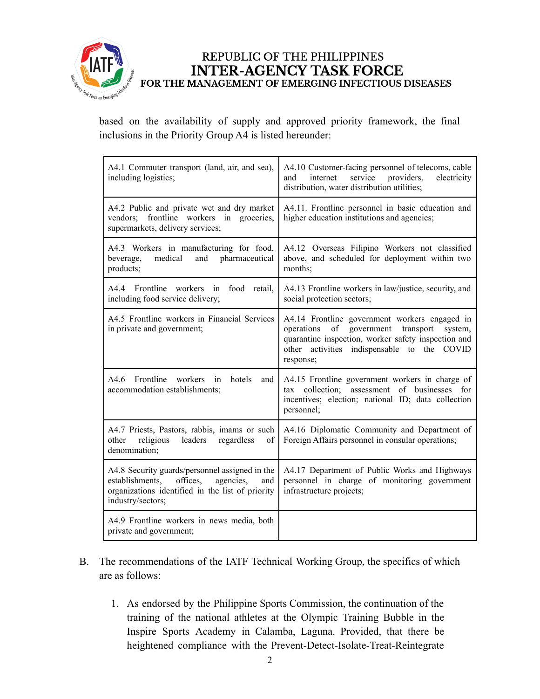

#### REPUBLIC OF THE PHILIPPINES **INTER-AGENCY TASK FORCE** FOR THE MANAGEMENT OF EMERGING INFECTIOUS DISEASES

based on the availability of supply and approved priority framework, the final inclusions in the Priority Group A4 is listed hereunder:

| A4.1 Commuter transport (land, air, and sea),<br>including logistics;                                                                                                      | A4.10 Customer-facing personnel of telecoms, cable<br>internet<br>service<br>providers,<br>electricity<br>and<br>distribution, water distribution utilities;                                                                  |
|----------------------------------------------------------------------------------------------------------------------------------------------------------------------------|-------------------------------------------------------------------------------------------------------------------------------------------------------------------------------------------------------------------------------|
| A4.2 Public and private wet and dry market<br>frontline workers in groceries,<br>vendors;<br>supermarkets, delivery services;                                              | A4.11. Frontline personnel in basic education and<br>higher education institutions and agencies;                                                                                                                              |
| A4.3 Workers in manufacturing for food,<br>medical<br>and<br>pharmaceutical<br>beverage,<br>products;                                                                      | A4.12 Overseas Filipino Workers not classified<br>above, and scheduled for deployment within two<br>months;                                                                                                                   |
| A4.4 Frontline workers in food retail,<br>including food service delivery;                                                                                                 | A4.13 Frontline workers in law/justice, security, and<br>social protection sectors;                                                                                                                                           |
| A4.5 Frontline workers in Financial Services<br>in private and government;                                                                                                 | A4.14 Frontline government workers engaged in<br>of<br>operations<br>government<br>transport<br>system,<br>quarantine inspection, worker safety inspection and<br>other activities indispensable to the<br>COVID<br>response; |
| A4.6 Frontline<br>workers in<br>hotels<br>and<br>accommodation establishments;                                                                                             | A4.15 Frontline government workers in charge of<br>assessment of businesses for<br>collection;<br>tax<br>incentives; election; national ID; data collection<br>personnel;                                                     |
| A4.7 Priests, Pastors, rabbis, imams or such<br>religious<br>leaders<br>regardless<br>of<br>other<br>denomination;                                                         | A4.16 Diplomatic Community and Department of<br>Foreign Affairs personnel in consular operations;                                                                                                                             |
| A4.8 Security guards/personnel assigned in the<br>offices,<br>establishments.<br>agencies.<br>and<br>organizations identified in the list of priority<br>industry/sectors; | A4.17 Department of Public Works and Highways<br>personnel in charge of monitoring government<br>infrastructure projects;                                                                                                     |
| A4.9 Frontline workers in news media, both<br>private and government;                                                                                                      |                                                                                                                                                                                                                               |

- B. The recommendations of the IATF Technical Working Group, the specifics of which are as follows:
	- 1. As endorsed by the Philippine Sports Commission, the continuation of the training of the national athletes at the Olympic Training Bubble in the Inspire Sports Academy in Calamba, Laguna. Provided, that there be heightened compliance with the Prevent-Detect-Isolate-Treat-Reintegrate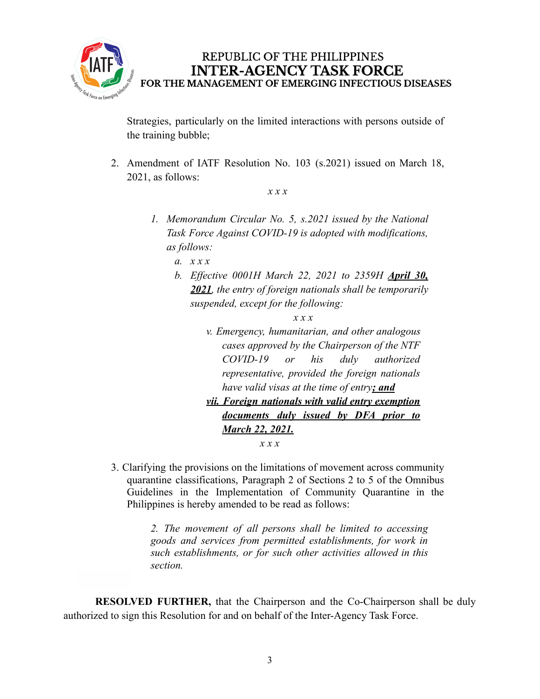

REPUBLIC OF THE PHILIPPINES **INTER-AGENCY TASK FORCE** FOR THE MANAGEMENT OF EMERGING INFECTIOUS DISEASES

Strategies, particularly on the limited interactions with persons outside of the training bubble;

2. Amendment of IATF Resolution No. 103 (s.2021) issued on March 18, 2021, as follows:

*x x x*

*1. Memorandum Circular No. 5, s.2021 issued by the National Task Force Against COVID-19 is adopted with modifications, as follows:*

*a. x x x*

*b. Effective 0001H March 22, 2021 to 2359H April 30, 2021, the entry of foreign nationals shall be temporarily suspended, except for the following:*

*x x x*

*v. Emergency, humanitarian, and other analogous cases approved by the Chairperson of the NTF COVID-19 or his duly authorized representative, provided the foreign nationals have valid visas at the time of entry; and vii. Foreign nationals with valid entry exemption documents duly issued by DFA prior to*

*x x x*

*March 22, 2021.*

3. Clarifying the provisions on the limitations of movement across community quarantine classifications, Paragraph 2 of Sections 2 to 5 of the Omnibus Guidelines in the Implementation of Community Quarantine in the Philippines is hereby amended to be read as follows:

> *2. The movement of all persons shall be limited to accessing goods and services from permitted establishments, for work in such establishments, or for such other activities allowed in this section.*

**RESOLVED FURTHER,** that the Chairperson and the Co-Chairperson shall be duly authorized to sign this Resolution for and on behalf of the Inter-Agency Task Force.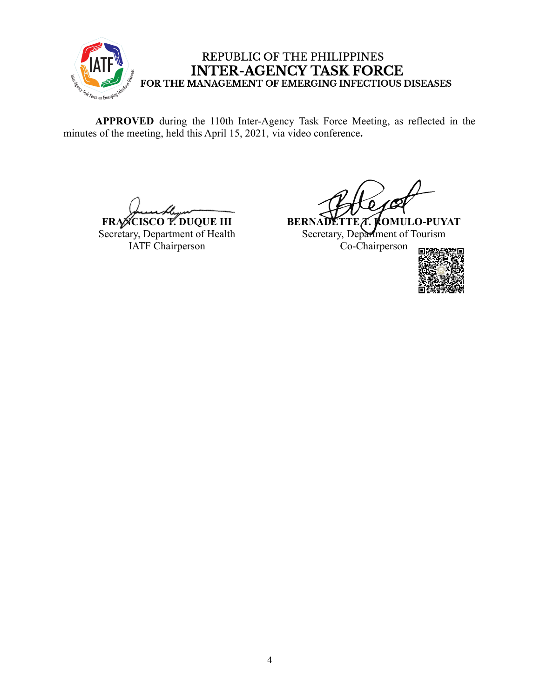

# REPUBLIC OF THE PHILIPPINES INTER-AGENCY TASK FORCE<br>FOR THE MANAGEMENT OF EMERGING INFECTIOUS DISEASES

**APPROVED** during the 110th Inter-Agency Task Force Meeting, as reflected in the minutes of the meeting, held this April 15, 2021, via video conference**.**

**FRANCISCO T. DUQUE III** Secretary, Department of Health IATF Chairperson

**BERNADETTEA. KOMULO-PUYAT** Secretary, Department of Tourism Co-Chairperson